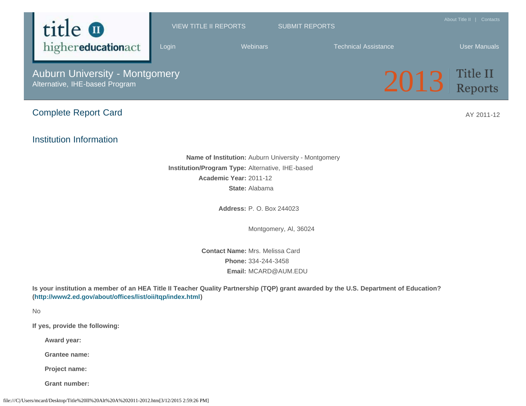

**Email:** MCARD@AUM.EDU

**Is your institution a member of an HEA Title II Teacher Quality Partnership (TQP) grant awarded by the U.S. Department of Education? ([http://www2.ed.gov/about/offices/list/oii/tqp/index.html\)](http://www2.ed.gov/about/offices/list/oii/tqp/index.html)**

No

**If yes, provide the following:**

**Award year:**

**Grantee name:**

**Project name:**

**Grant number:**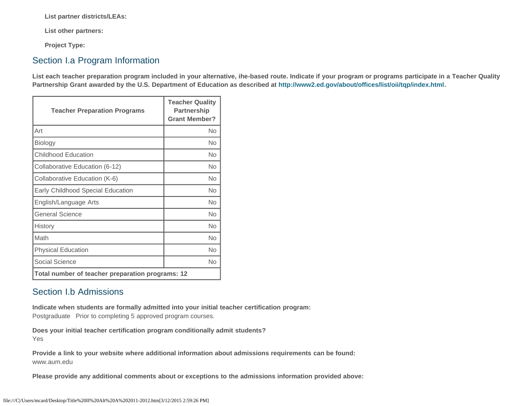**List partner districts/LEAs:**

**List other partners:**

**Project Type:**

### Section I.a Program Information

**List each teacher preparation program included in your alternative, ihe-based route. Indicate if your program or programs participate in a Teacher Quality Partnership Grant awarded by the U.S. Department of Education as described at<http://www2.ed.gov/about/offices/list/oii/tqp/index.html>.**

| <b>Teacher Preparation Programs</b>              | <b>Teacher Quality</b><br>Partnership<br><b>Grant Member?</b> |  |
|--------------------------------------------------|---------------------------------------------------------------|--|
| Art                                              | No                                                            |  |
| Biology                                          | No                                                            |  |
| <b>Childhood Education</b>                       | No                                                            |  |
| Collaborative Education (6-12)                   | No                                                            |  |
| Collaborative Education (K-6)                    | No                                                            |  |
| Early Childhood Special Education                | No                                                            |  |
| English/Language Arts                            | <b>No</b>                                                     |  |
| General Science                                  | No                                                            |  |
| History                                          | <b>No</b>                                                     |  |
| Math                                             | No                                                            |  |
| <b>Physical Education</b>                        | <b>No</b>                                                     |  |
| Social Science                                   | <b>No</b>                                                     |  |
| Total number of teacher preparation programs: 12 |                                                               |  |

# Section I.b Admissions

**Indicate when students are formally admitted into your initial teacher certification program:**  Postgraduate Prior to completing 5 approved program courses.

**Does your initial teacher certification program conditionally admit students?** Yes

**Provide a link to your website where additional information about admissions requirements can be found:** www.aum.edu

**Please provide any additional comments about or exceptions to the admissions information provided above:**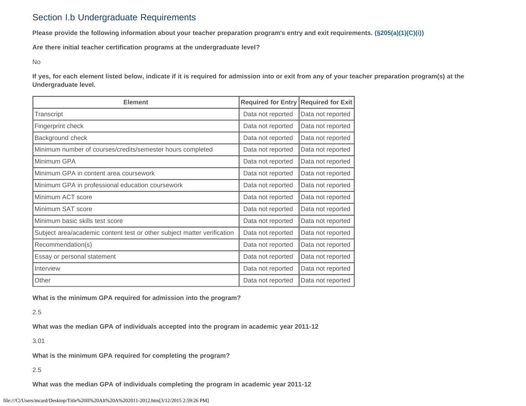# Section I.b Undergraduate Requirements

**Please provide the following information about your teacher preparation program's entry and exit requirements. [\(§205\(a\)\(1\)\(C\)\(i\)](http://frwebgate.access.gpo.gov/cgi-bin/getdoc.cgi?dbname=110_cong_public_laws&docid=f:publ315.110.pdf))**

**Are there initial teacher certification programs at the undergraduate level?**

No

**If yes, for each element listed below, indicate if it is required for admission into or exit from any of your teacher preparation program(s) at the Undergraduate level.**

| <b>Element</b>                                                          | <b>Required for Entry</b> | <b>Required for Exit</b> |  |
|-------------------------------------------------------------------------|---------------------------|--------------------------|--|
| Transcript                                                              | Data not reported         | Data not reported        |  |
| Fingerprint check                                                       | Data not reported         | Data not reported        |  |
| Background check                                                        | Data not reported         | Data not reported        |  |
| Minimum number of courses/credits/semester hours completed              | Data not reported         | Data not reported        |  |
| Minimum GPA                                                             | Data not reported         | Data not reported        |  |
| Minimum GPA in content area coursework                                  | Data not reported         | Data not reported        |  |
| Minimum GPA in professional education coursework                        | Data not reported         | Data not reported        |  |
| Minimum ACT score                                                       | Data not reported         | Data not reported        |  |
| Minimum SAT score                                                       | Data not reported         | Data not reported        |  |
| Minimum basic skills test score                                         | Data not reported         | Data not reported        |  |
| Subject area/academic content test or other subject matter verification | Data not reported         | Data not reported        |  |
| Recommendation(s)                                                       | Data not reported         | Data not reported        |  |
| Essay or personal statement                                             | Data not reported         | Data not reported        |  |
| Interview                                                               | Data not reported         | Data not reported        |  |
| Other                                                                   | Data not reported         | Data not reported        |  |

**What is the minimum GPA required for admission into the program?**

2.5

**What was the median GPA of individuals accepted into the program in academic year 2011-12**

3.01

**What is the minimum GPA required for completing the program?**

2.5

**What was the median GPA of individuals completing the program in academic year 2011-12**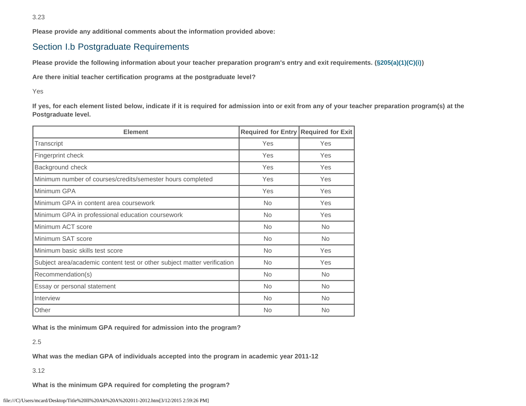**Please provide any additional comments about the information provided above:**

# Section I.b Postgraduate Requirements

**Please provide the following information about your teacher preparation program's entry and exit requirements. [\(§205\(a\)\(1\)\(C\)\(i\)](http://frwebgate.access.gpo.gov/cgi-bin/getdoc.cgi?dbname=110_cong_public_laws&docid=f:publ315.110.pdf))**

**Are there initial teacher certification programs at the postgraduate level?**

Yes

**If yes, for each element listed below, indicate if it is required for admission into or exit from any of your teacher preparation program(s) at the Postgraduate level.**

| <b>Element</b>                                                          | Required for Entry Required for Exit |           |  |
|-------------------------------------------------------------------------|--------------------------------------|-----------|--|
| Transcript                                                              | Yes                                  | Yes       |  |
| Fingerprint check                                                       | Yes                                  | Yes       |  |
| Background check                                                        | Yes                                  | Yes       |  |
| Minimum number of courses/credits/semester hours completed              | Yes                                  | Yes       |  |
| Minimum GPA                                                             | Yes                                  | Yes       |  |
| Minimum GPA in content area coursework                                  | <b>No</b>                            | Yes       |  |
| Minimum GPA in professional education coursework                        | <b>No</b>                            | Yes       |  |
| Minimum ACT score                                                       | No.                                  | <b>No</b> |  |
| Minimum SAT score                                                       | <b>No</b>                            | <b>No</b> |  |
| Minimum basic skills test score                                         | <b>No</b>                            | Yes       |  |
| Subject area/academic content test or other subject matter verification | No.                                  | Yes       |  |
| Recommendation(s)                                                       | <b>No</b>                            | <b>No</b> |  |
| Essay or personal statement                                             | <b>No</b>                            | No.       |  |
| Interview                                                               | <b>No</b>                            | <b>No</b> |  |
| Other                                                                   | No                                   | <b>No</b> |  |

**What is the minimum GPA required for admission into the program?**

2.5

**What was the median GPA of individuals accepted into the program in academic year 2011-12**

3.12

**What is the minimum GPA required for completing the program?**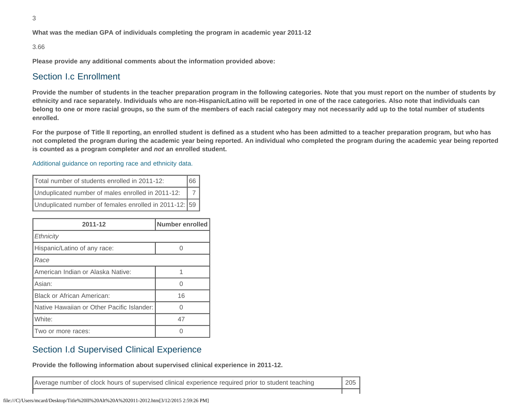**What was the median GPA of individuals completing the program in academic year 2011-12**

#### 3.66

**Please provide any additional comments about the information provided above:**

#### Section I.c Enrollment

**Provide the number of students in the teacher preparation program in the following categories. Note that you must report on the number of students by ethnicity and race separately. Individuals who are non-Hispanic/Latino will be reported in one of the race categories. Also note that individuals can belong to one or more racial groups, so the sum of the members of each racial category may not necessarily add up to the total number of students enrolled.**

**For the purpose of Title II reporting, an enrolled student is defined as a student who has been admitted to a teacher preparation program, but who has not completed the program during the academic year being reported. An individual who completed the program during the academic year being reported is counted as a program completer and** *not* **an enrolled student.**

[Additional guidance on reporting race and ethnicity data.](https://title2.ed.gov/Public/TA/Race_ethnicity.pdf)

| Total number of students enrolled in 2011-12:<br>166   |  |
|--------------------------------------------------------|--|
| Unduplicated number of males enrolled in 2011-12:      |  |
| Unduplicated number of females enrolled in 2011-12: 59 |  |

| 2011-12                                    | Number enrolled |
|--------------------------------------------|-----------------|
| Ethnicity                                  |                 |
| Hispanic/Latino of any race:               |                 |
| Race                                       |                 |
| American Indian or Alaska Native:          |                 |
| Asian:                                     |                 |
| <b>Black or African American:</b>          | 16              |
| Native Hawaiian or Other Pacific Islander: |                 |
| White:                                     | 47              |
| Two or more races:                         |                 |

#### Section I.d Supervised Clinical Experience

**Provide the following information about supervised clinical experience in 2011-12.**

Average number of clock hours of supervised clinical experience required prior to student teaching 205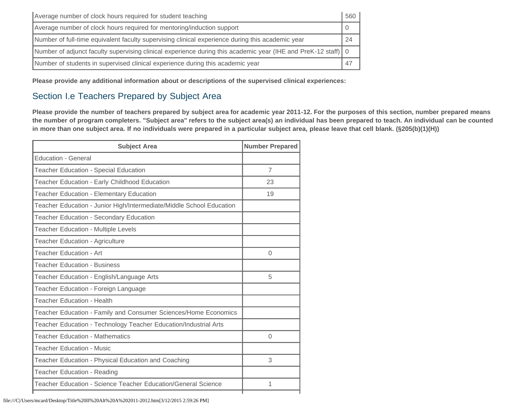| Average number of clock hours required for student teaching                                                     | 560 |
|-----------------------------------------------------------------------------------------------------------------|-----|
| Average number of clock hours required for mentoring/induction support                                          |     |
| Number of full-time equivalent faculty supervising clinical experience during this academic year                |     |
| Number of adjunct faculty supervising clinical experience during this academic year (IHE and PreK-12 staff)   0 |     |
| Number of students in supervised clinical experience during this academic year                                  |     |

**Please provide any additional information about or descriptions of the supervised clinical experiences:**

# Section I.e Teachers Prepared by Subject Area

**Please provide the number of teachers prepared by subject area for academic year 2011-12. For the purposes of this section, number prepared means the number of program completers. "Subject area" refers to the subject area(s) an individual has been prepared to teach. An individual can be counted in more than one subject area. If no individuals were prepared in a particular subject area, please leave that cell blank. (§205(b)(1)(H))**

| <b>Subject Area</b>                                                  | <b>Number Prepared</b> |
|----------------------------------------------------------------------|------------------------|
| <b>Education - General</b>                                           |                        |
| Teacher Education - Special Education                                | $\overline{7}$         |
| Teacher Education - Early Childhood Education                        | 23                     |
| Teacher Education - Elementary Education                             | 19                     |
| Teacher Education - Junior High/Intermediate/Middle School Education |                        |
| Teacher Education - Secondary Education                              |                        |
| <b>Teacher Education - Multiple Levels</b>                           |                        |
| Teacher Education - Agriculture                                      |                        |
| <b>Teacher Education - Art</b>                                       | 0                      |
| <b>Teacher Education - Business</b>                                  |                        |
| Teacher Education - English/Language Arts                            | 5                      |
| Teacher Education - Foreign Language                                 |                        |
| <b>Teacher Education - Health</b>                                    |                        |
| Teacher Education - Family and Consumer Sciences/Home Economics      |                        |
| Teacher Education - Technology Teacher Education/Industrial Arts     |                        |
| <b>Teacher Education - Mathematics</b>                               | $\Omega$               |
| <b>Teacher Education - Music</b>                                     |                        |
| Teacher Education - Physical Education and Coaching                  | 3                      |
| Teacher Education - Reading                                          |                        |
| Teacher Education - Science Teacher Education/General Science        | 1                      |
|                                                                      |                        |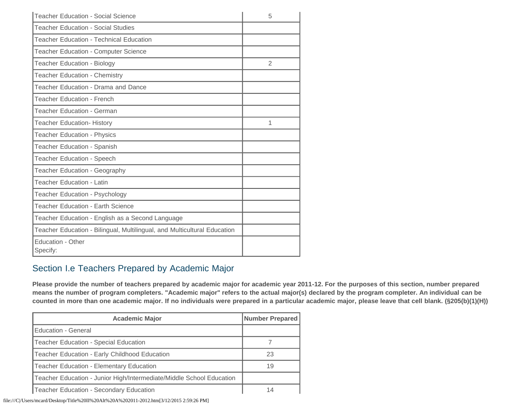| <b>Teacher Education - Social Science</b>                                | 5 |
|--------------------------------------------------------------------------|---|
| <b>Teacher Education - Social Studies</b>                                |   |
| <b>Teacher Education - Technical Education</b>                           |   |
| <b>Teacher Education - Computer Science</b>                              |   |
| <b>Teacher Education - Biology</b>                                       | 2 |
| <b>Teacher Education - Chemistry</b>                                     |   |
| Teacher Education - Drama and Dance                                      |   |
| <b>Teacher Education - French</b>                                        |   |
| Teacher Education - German                                               |   |
| <b>Teacher Education- History</b>                                        | 1 |
| <b>Teacher Education - Physics</b>                                       |   |
| Teacher Education - Spanish                                              |   |
| <b>Teacher Education - Speech</b>                                        |   |
| Teacher Education - Geography                                            |   |
| Teacher Education - Latin                                                |   |
| Teacher Education - Psychology                                           |   |
| <b>Teacher Education - Earth Science</b>                                 |   |
| Teacher Education - English as a Second Language                         |   |
| Teacher Education - Bilingual, Multilingual, and Multicultural Education |   |
| Education - Other<br>Specify:                                            |   |

# Section I.e Teachers Prepared by Academic Major

**Please provide the number of teachers prepared by academic major for academic year 2011-12. For the purposes of this section, number prepared means the number of program completers. "Academic major" refers to the actual major(s) declared by the program completer. An individual can be counted in more than one academic major. If no individuals were prepared in a particular academic major, please leave that cell blank. (§205(b)(1)(H))**

| <b>Academic Major</b>                                                | <b>Number Prepared</b> |
|----------------------------------------------------------------------|------------------------|
| Education - General                                                  |                        |
| Teacher Education - Special Education                                |                        |
| Teacher Education - Early Childhood Education                        | 23                     |
| Teacher Education - Elementary Education                             | 19                     |
| Teacher Education - Junior High/Intermediate/Middle School Education |                        |
| Teacher Education - Secondary Education                              | 14                     |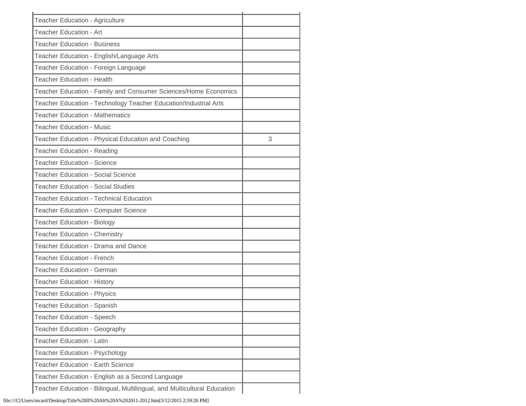| <b>Teacher Education - Agriculture</b>                                   |   |
|--------------------------------------------------------------------------|---|
| Teacher Education - Art                                                  |   |
| <b>Teacher Education - Business</b>                                      |   |
| Teacher Education - English/Language Arts                                |   |
| Teacher Education - Foreign Language                                     |   |
| <b>Teacher Education - Health</b>                                        |   |
| Teacher Education - Family and Consumer Sciences/Home Economics          |   |
| Teacher Education - Technology Teacher Education/Industrial Arts         |   |
| <b>Teacher Education - Mathematics</b>                                   |   |
| <b>Teacher Education - Music</b>                                         |   |
| Teacher Education - Physical Education and Coaching                      | 3 |
| Teacher Education - Reading                                              |   |
| <b>Teacher Education - Science</b>                                       |   |
| <b>Teacher Education - Social Science</b>                                |   |
| <b>Teacher Education - Social Studies</b>                                |   |
| <b>Teacher Education - Technical Education</b>                           |   |
| Teacher Education - Computer Science                                     |   |
| <b>Teacher Education - Biology</b>                                       |   |
| <b>Teacher Education - Chemistry</b>                                     |   |
| Teacher Education - Drama and Dance                                      |   |
| <b>Teacher Education - French</b>                                        |   |
| <b>Teacher Education - German</b>                                        |   |
| <b>Teacher Education - History</b>                                       |   |
| <b>Teacher Education - Physics</b>                                       |   |
| Teacher Education - Spanish                                              |   |
| <b>Teacher Education - Speech</b>                                        |   |
| Teacher Education - Geography                                            |   |
| <b>Teacher Education - Latin</b>                                         |   |
| <b>Teacher Education - Psychology</b>                                    |   |
| <b>Teacher Education - Earth Science</b>                                 |   |
| Teacher Education - English as a Second Language                         |   |
| Teacher Education - Bilingual, Multilingual, and Multicultural Education |   |
|                                                                          |   |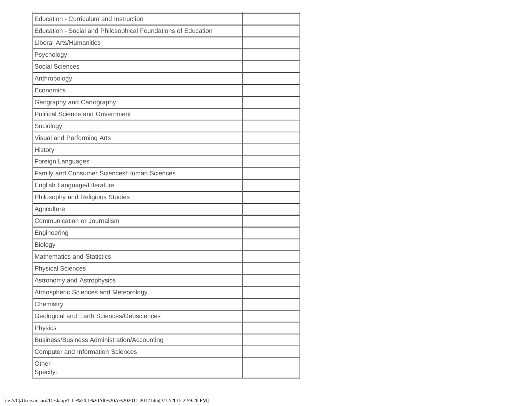| Education - Curriculum and Instruction                        |  |
|---------------------------------------------------------------|--|
| Education - Social and Philosophical Foundations of Education |  |
| <b>Liberal Arts/Humanities</b>                                |  |
| Psychology                                                    |  |
| <b>Social Sciences</b>                                        |  |
| Anthropology                                                  |  |
| Economics                                                     |  |
| Geography and Cartography                                     |  |
| <b>Political Science and Government</b>                       |  |
| Sociology                                                     |  |
| Visual and Performing Arts                                    |  |
| History                                                       |  |
| Foreign Languages                                             |  |
| Family and Consumer Sciences/Human Sciences                   |  |
| English Language/Literature                                   |  |
| Philosophy and Religious Studies                              |  |
| Agriculture                                                   |  |
| Communication or Journalism                                   |  |
| Engineering                                                   |  |
| Biology                                                       |  |
| <b>Mathematics and Statistics</b>                             |  |
| <b>Physical Sciences</b>                                      |  |
| Astronomy and Astrophysics                                    |  |
| Atmospheric Sciences and Meteorology                          |  |
| Chemistry                                                     |  |
| Geological and Earth Sciences/Geosciences                     |  |
| Physics                                                       |  |
| <b>Business/Business Administration/Accounting</b>            |  |
| <b>Computer and Information Sciences</b>                      |  |
| Other<br>Specify:                                             |  |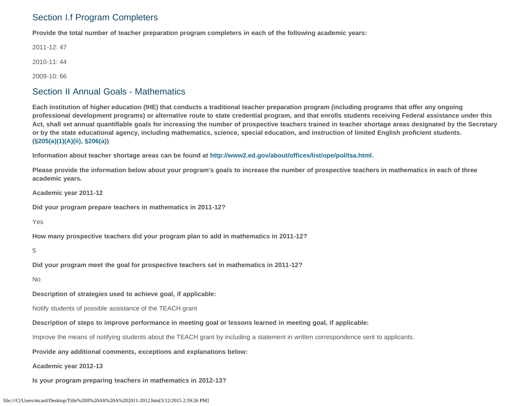# Section I.f Program Completers

**Provide the total number of teacher preparation program completers in each of the following academic years:**

2011-12: 47

2010-11: 44

2009-10: 66

#### Section II Annual Goals - Mathematics

**Each institution of higher education (IHE) that conducts a traditional teacher preparation program (including programs that offer any ongoing professional development programs) or alternative route to state credential program, and that enrolls students receiving Federal assistance under this Act, shall set annual quantifiable goals for increasing the number of prospective teachers trained in teacher shortage areas designated by the Secretary or by the state educational agency, including mathematics, science, special education, and instruction of limited English proficient students. [\(§205\(a\)\(1\)\(A\)\(ii\), §206\(a\)\)](http://frwebgate.access.gpo.gov/cgi-bin/getdoc.cgi?dbname=110_cong_public_laws&docid=f:publ315.110.pdf)**

**Information about teacher shortage areas can be found at<http://www2.ed.gov/about/offices/list/ope/pol/tsa.html>.**

**Please provide the information below about your program's goals to increase the number of prospective teachers in mathematics in each of three academic years.**

**Academic year 2011-12**

**Did your program prepare teachers in mathematics in 2011-12?**

Yes

**How many prospective teachers did your program plan to add in mathematics in 2011-12?**

5

**Did your program meet the goal for prospective teachers set in mathematics in 2011-12?**

No

**Description of strategies used to achieve goal, if applicable:**

Notify students of possible assistance of the TEACH grant

**Description of steps to improve performance in meeting goal or lessons learned in meeting goal, if applicable:**

Improve the means of notifying students about the TEACH grant by including a statement in written correspondence sent to applicants.

**Provide any additional comments, exceptions and explanations below:**

**Academic year 2012-13**

**Is your program preparing teachers in mathematics in 2012-13?**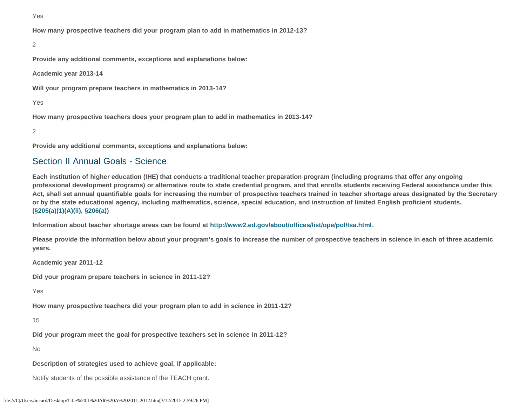Yes

**How many prospective teachers did your program plan to add in mathematics in 2012-13?**

#### 2

**Provide any additional comments, exceptions and explanations below:**

**Academic year 2013-14**

**Will your program prepare teachers in mathematics in 2013-14?**

Yes

**How many prospective teachers does your program plan to add in mathematics in 2013-14?**

2

**Provide any additional comments, exceptions and explanations below:**

#### Section II Annual Goals - Science

**Each institution of higher education (IHE) that conducts a traditional teacher preparation program (including programs that offer any ongoing professional development programs) or alternative route to state credential program, and that enrolls students receiving Federal assistance under this Act, shall set annual quantifiable goals for increasing the number of prospective teachers trained in teacher shortage areas designated by the Secretary or by the state educational agency, including mathematics, science, special education, and instruction of limited English proficient students. [\(§205\(a\)\(1\)\(A\)\(ii\), §206\(a\)\)](http://frwebgate.access.gpo.gov/cgi-bin/getdoc.cgi?dbname=110_cong_public_laws&docid=f:publ315.110.pdf)**

**Information about teacher shortage areas can be found at<http://www2.ed.gov/about/offices/list/ope/pol/tsa.html>.**

**Please provide the information below about your program's goals to increase the number of prospective teachers in science in each of three academic years.**

**Academic year 2011-12**

**Did your program prepare teachers in science in 2011-12?**

Yes

**How many prospective teachers did your program plan to add in science in 2011-12?**

15

**Did your program meet the goal for prospective teachers set in science in 2011-12?**

No

**Description of strategies used to achieve goal, if applicable:**

Notify students of the possible assistance of the TEACH grant.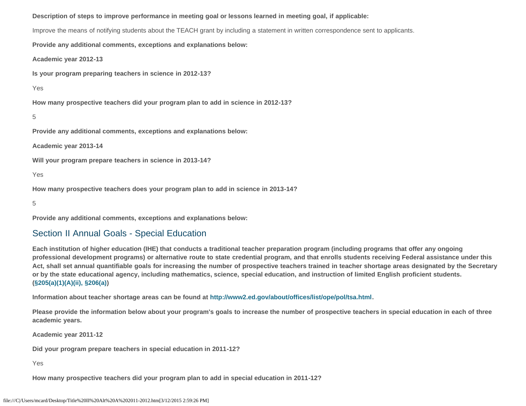**Description of steps to improve performance in meeting goal or lessons learned in meeting goal, if applicable:**

Improve the means of notifying students about the TEACH grant by including a statement in written correspondence sent to applicants.

**Provide any additional comments, exceptions and explanations below:**

**Academic year 2012-13**

**Is your program preparing teachers in science in 2012-13?**

Yes

**How many prospective teachers did your program plan to add in science in 2012-13?**

```
5
```
**Provide any additional comments, exceptions and explanations below:**

**Academic year 2013-14**

**Will your program prepare teachers in science in 2013-14?**

Yes

**How many prospective teachers does your program plan to add in science in 2013-14?**

5

**Provide any additional comments, exceptions and explanations below:**

### Section II Annual Goals - Special Education

**Each institution of higher education (IHE) that conducts a traditional teacher preparation program (including programs that offer any ongoing professional development programs) or alternative route to state credential program, and that enrolls students receiving Federal assistance under this Act, shall set annual quantifiable goals for increasing the number of prospective teachers trained in teacher shortage areas designated by the Secretary or by the state educational agency, including mathematics, science, special education, and instruction of limited English proficient students. [\(§205\(a\)\(1\)\(A\)\(ii\), §206\(a\)\)](http://frwebgate.access.gpo.gov/cgi-bin/getdoc.cgi?dbname=110_cong_public_laws&docid=f:publ315.110.pdf)**

**Information about teacher shortage areas can be found at<http://www2.ed.gov/about/offices/list/ope/pol/tsa.html>.**

**Please provide the information below about your program's goals to increase the number of prospective teachers in special education in each of three academic years.**

**Academic year 2011-12**

**Did your program prepare teachers in special education in 2011-12?**

Yes

**How many prospective teachers did your program plan to add in special education in 2011-12?**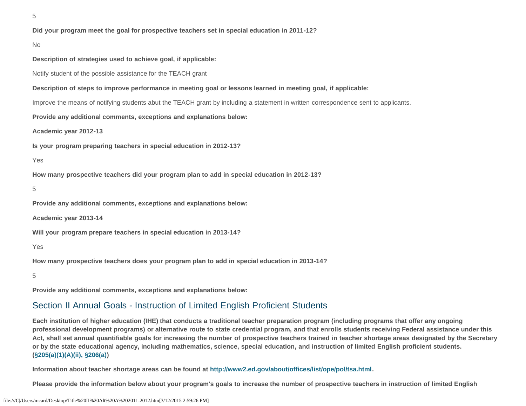5

**Did your program meet the goal for prospective teachers set in special education in 2011-12?**

#### No

**Description of strategies used to achieve goal, if applicable:**

Notify student of the possible assistance for the TEACH grant

**Description of steps to improve performance in meeting goal or lessons learned in meeting goal, if applicable:**

Improve the means of notifying students abut the TEACH grant by including a statement in written correspondence sent to applicants.

**Provide any additional comments, exceptions and explanations below:**

**Academic year 2012-13**

**Is your program preparing teachers in special education in 2012-13?**

#### Yes

**How many prospective teachers did your program plan to add in special education in 2012-13?**

5

**Provide any additional comments, exceptions and explanations below:**

**Academic year 2013-14**

**Will your program prepare teachers in special education in 2013-14?**

Yes

**How many prospective teachers does your program plan to add in special education in 2013-14?**

5

**Provide any additional comments, exceptions and explanations below:**

#### Section II Annual Goals - Instruction of Limited English Proficient Students

**Each institution of higher education (IHE) that conducts a traditional teacher preparation program (including programs that offer any ongoing professional development programs) or alternative route to state credential program, and that enrolls students receiving Federal assistance under this Act, shall set annual quantifiable goals for increasing the number of prospective teachers trained in teacher shortage areas designated by the Secretary or by the state educational agency, including mathematics, science, special education, and instruction of limited English proficient students. [\(§205\(a\)\(1\)\(A\)\(ii\), §206\(a\)\)](http://frwebgate.access.gpo.gov/cgi-bin/getdoc.cgi?dbname=110_cong_public_laws&docid=f:publ315.110.pdf)**

**Information about teacher shortage areas can be found at<http://www2.ed.gov/about/offices/list/ope/pol/tsa.html>.**

**Please provide the information below about your program's goals to increase the number of prospective teachers in instruction of limited English**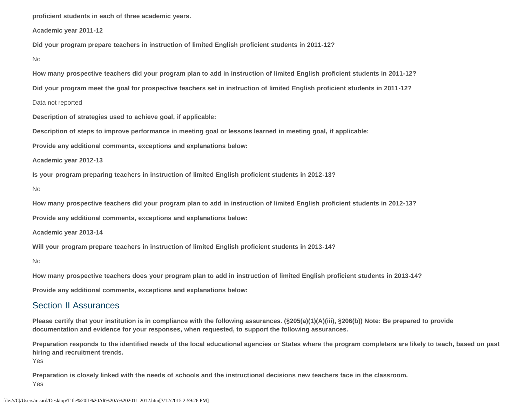**proficient students in each of three academic years.**

**Academic year 2011-12**

**Did your program prepare teachers in instruction of limited English proficient students in 2011-12?**

No

**How many prospective teachers did your program plan to add in instruction of limited English proficient students in 2011-12?**

**Did your program meet the goal for prospective teachers set in instruction of limited English proficient students in 2011-12?**

Data not reported

**Description of strategies used to achieve goal, if applicable:**

**Description of steps to improve performance in meeting goal or lessons learned in meeting goal, if applicable:**

**Provide any additional comments, exceptions and explanations below:**

**Academic year 2012-13**

**Is your program preparing teachers in instruction of limited English proficient students in 2012-13?**

No

**How many prospective teachers did your program plan to add in instruction of limited English proficient students in 2012-13?**

**Provide any additional comments, exceptions and explanations below:**

**Academic year 2013-14**

**Will your program prepare teachers in instruction of limited English proficient students in 2013-14?**

No

**How many prospective teachers does your program plan to add in instruction of limited English proficient students in 2013-14?**

**Provide any additional comments, exceptions and explanations below:**

#### Section II Assurances

**Please certify that your institution is in compliance with the following assurances. (§205(a)(1)(A)(iii), §206(b)) Note: Be prepared to provide documentation and evidence for your responses, when requested, to support the following assurances.**

**Preparation responds to the identified needs of the local educational agencies or States where the program completers are likely to teach, based on past hiring and recruitment trends.**

Yes

**Preparation is closely linked with the needs of schools and the instructional decisions new teachers face in the classroom.**  Yes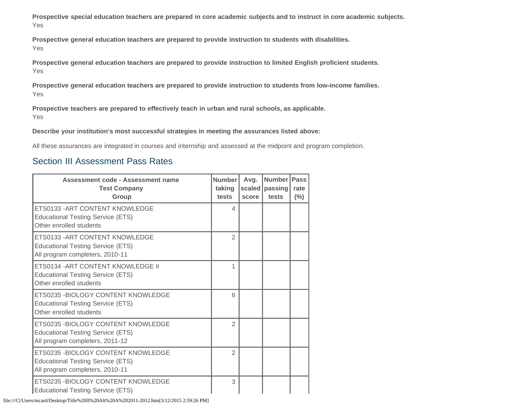**Prospective special education teachers are prepared in core academic subjects and to instruct in core academic subjects.** Yes

**Prospective general education teachers are prepared to provide instruction to students with disabilities.** Yes

**Prospective general education teachers are prepared to provide instruction to limited English proficient students.**  Yes

**Prospective general education teachers are prepared to provide instruction to students from low-income families.** Yes

**Prospective teachers are prepared to effectively teach in urban and rural schools, as applicable.** Yes

**Describe your institution's most successful strategies in meeting the assurances listed above:**

All these assurances are integrated in courses and internship and assessed at the midpoint and program completion.

### Section III Assessment Pass Rates

| Assessment code - Assessment name<br><b>Test Company</b><br>Group                                                  | <b>Number</b><br>taking<br>tests | Avg.<br>score | <b>Number</b><br>scaled   passing<br>tests | <b>Pass</b><br>rate<br>$(\%)$ |
|--------------------------------------------------------------------------------------------------------------------|----------------------------------|---------------|--------------------------------------------|-------------------------------|
| ETS0133 - ART CONTENT KNOWLEDGE<br><b>Educational Testing Service (ETS)</b><br>Other enrolled students             | 4                                |               |                                            |                               |
| ETS0133 - ART CONTENT KNOWLEDGE<br><b>Educational Testing Service (ETS)</b><br>All program completers, 2010-11     | $\mathfrak{D}$                   |               |                                            |                               |
| ETS0134 - ART CONTENT KNOWLEDGE II<br><b>Educational Testing Service (ETS)</b><br>Other enrolled students          | 1                                |               |                                            |                               |
| ETS0235 - BIOLOGY CONTENT KNOWLEDGE<br><b>Educational Testing Service (ETS)</b><br>Other enrolled students         | 6                                |               |                                            |                               |
| ETS0235 - BIOLOGY CONTENT KNOWLEDGE<br><b>Educational Testing Service (ETS)</b><br>All program completers, 2011-12 | $\overline{2}$                   |               |                                            |                               |
| ETS0235 - BIOLOGY CONTENT KNOWLEDGE<br><b>Educational Testing Service (ETS)</b><br>All program completers, 2010-11 | $\overline{2}$                   |               |                                            |                               |
| ETS0235 -BIOLOGY CONTENT KNOWLEDGE<br><b>Educational Testing Service (ETS)</b>                                     | 3                                |               |                                            |                               |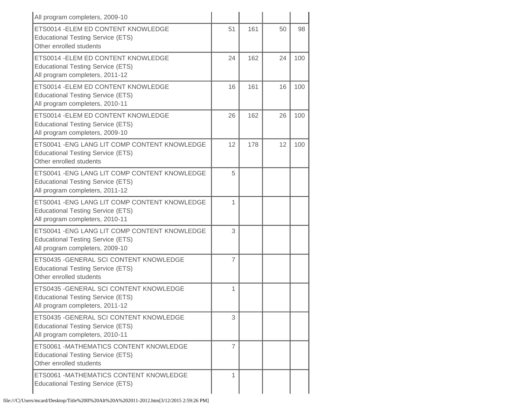| All program completers, 2009-10                                                                                              |    |     |    |     |
|------------------------------------------------------------------------------------------------------------------------------|----|-----|----|-----|
| ETS0014 - ELEM ED CONTENT KNOWLEDGE<br><b>Educational Testing Service (ETS)</b><br>Other enrolled students                   | 51 | 161 | 50 | 98  |
| ETS0014 - ELEM ED CONTENT KNOWLEDGE<br><b>Educational Testing Service (ETS)</b><br>All program completers, 2011-12           | 24 | 162 | 24 | 100 |
| ETS0014 - ELEM ED CONTENT KNOWLEDGE<br><b>Educational Testing Service (ETS)</b><br>All program completers, 2010-11           | 16 | 161 | 16 | 100 |
| ETS0014 - ELEM ED CONTENT KNOWLEDGE<br><b>Educational Testing Service (ETS)</b><br>All program completers, 2009-10           | 26 | 162 | 26 | 100 |
| ETS0041 - ENG LANG LIT COMP CONTENT KNOWLEDGE<br><b>Educational Testing Service (ETS)</b><br>Other enrolled students         | 12 | 178 | 12 | 100 |
| ETS0041 - ENG LANG LIT COMP CONTENT KNOWLEDGE<br><b>Educational Testing Service (ETS)</b><br>All program completers, 2011-12 | 5  |     |    |     |
| ETS0041 - ENG LANG LIT COMP CONTENT KNOWLEDGE<br><b>Educational Testing Service (ETS)</b><br>All program completers, 2010-11 | 1  |     |    |     |
| ETS0041 - ENG LANG LIT COMP CONTENT KNOWLEDGE<br><b>Educational Testing Service (ETS)</b><br>All program completers, 2009-10 | 3  |     |    |     |
| ETS0435 - GENERAL SCI CONTENT KNOWLEDGE<br><b>Educational Testing Service (ETS)</b><br>Other enrolled students               | 7  |     |    |     |
| ETS0435 - GENERAL SCI CONTENT KNOWLEDGE<br><b>Educational Testing Service (ETS)</b><br>All program completers, 2011-12       | 1  |     |    |     |
| ETS0435 - GENERAL SCI CONTENT KNOWLEDGE<br><b>Educational Testing Service (ETS)</b><br>All program completers, 2010-11       | 3  |     |    |     |
| ETS0061 - MATHEMATICS CONTENT KNOWLEDGE<br><b>Educational Testing Service (ETS)</b><br>Other enrolled students               | 7  |     |    |     |
| ETS0061 - MATHEMATICS CONTENT KNOWLEDGE<br><b>Educational Testing Service (ETS)</b>                                          | 1  |     |    |     |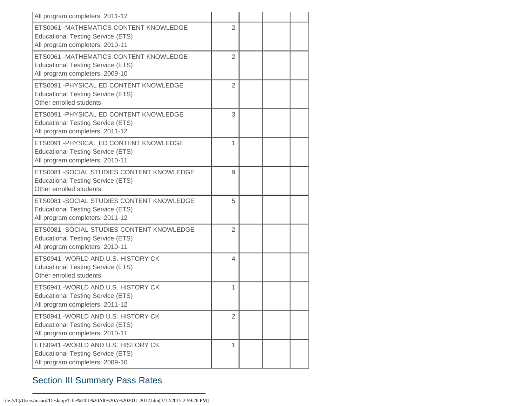| All program completers, 2011-12                                                                                           |                |  |  |
|---------------------------------------------------------------------------------------------------------------------------|----------------|--|--|
| ETS0061 -MATHEMATICS CONTENT KNOWLEDGE<br><b>Educational Testing Service (ETS)</b><br>All program completers, 2010-11     | $\overline{2}$ |  |  |
| ETS0061 -MATHEMATICS CONTENT KNOWLEDGE<br><b>Educational Testing Service (ETS)</b><br>All program completers, 2009-10     | 2              |  |  |
| ETS0091 - PHYSICAL ED CONTENT KNOWLEDGE<br><b>Educational Testing Service (ETS)</b><br>Other enrolled students            | 2              |  |  |
| ETS0091 - PHYSICAL ED CONTENT KNOWLEDGE<br><b>Educational Testing Service (ETS)</b><br>All program completers, 2011-12    | 3              |  |  |
| ETS0091 - PHYSICAL ED CONTENT KNOWLEDGE<br><b>Educational Testing Service (ETS)</b><br>All program completers, 2010-11    | 1              |  |  |
| ETS0081 - SOCIAL STUDIES CONTENT KNOWLEDGE<br><b>Educational Testing Service (ETS)</b><br>Other enrolled students         | 9              |  |  |
| ETS0081 - SOCIAL STUDIES CONTENT KNOWLEDGE<br><b>Educational Testing Service (ETS)</b><br>All program completers, 2011-12 | 5              |  |  |
| ETS0081 - SOCIAL STUDIES CONTENT KNOWLEDGE<br><b>Educational Testing Service (ETS)</b><br>All program completers, 2010-11 | 2              |  |  |
| ETS0941 - WORLD AND U.S. HISTORY CK<br><b>Educational Testing Service (ETS)</b><br>Other enrolled students                | 4              |  |  |
| ETS0941 - WORLD AND U.S. HISTORY CK<br><b>Educational Testing Service (ETS)</b><br>All program completers, 2011-12        | 1              |  |  |
| ETS0941 - WORLD AND U.S. HISTORY CK<br><b>Educational Testing Service (ETS)</b><br>All program completers, 2010-11        | $\overline{2}$ |  |  |
| ETS0941 - WORLD AND U.S. HISTORY CK<br><b>Educational Testing Service (ETS)</b><br>All program completers, 2009-10        | 1              |  |  |

# Section III Summary Pass Rates

file:///C|/Users/mcard/Desktop/Title%20II%20Alt%20A%202011-2012.htm[3/12/2015 2:59:26 PM]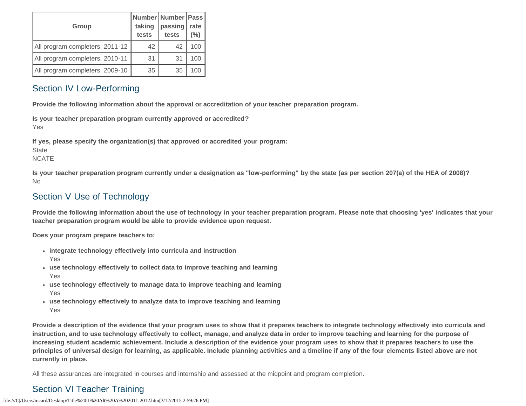| <b>Group</b>                    | taking<br>tests | Number Number   Pass<br>passing<br>tests | rate<br>(%) |
|---------------------------------|-----------------|------------------------------------------|-------------|
| All program completers, 2011-12 | 42              | 42                                       | 100         |
| All program completers, 2010-11 | 31              | 31                                       | 100         |
| All program completers, 2009-10 | 35              | 35                                       | 100         |

### Section IV Low-Performing

**Provide the following information about the approval or accreditation of your teacher preparation program.**

**Is your teacher preparation program currently approved or accredited?** Yes

**If yes, please specify the organization(s) that approved or accredited your program:**

**State** 

NCATE

**Is your teacher preparation program currently under a designation as "low-performing" by the state (as per section 207(a) of the HEA of 2008)?** No

# Section V Use of Technology

**Provide the following information about the use of technology in your teacher preparation program. Please note that choosing 'yes' indicates that your teacher preparation program would be able to provide evidence upon request.**

**Does your program prepare teachers to:**

- **integrate technology effectively into curricula and instruction** Yes
- **use technology effectively to collect data to improve teaching and learning** Yes
- **use technology effectively to manage data to improve teaching and learning** Yes
- **use technology effectively to analyze data to improve teaching and learning** Yes

**Provide a description of the evidence that your program uses to show that it prepares teachers to integrate technology effectively into curricula and instruction, and to use technology effectively to collect, manage, and analyze data in order to improve teaching and learning for the purpose of increasing student academic achievement. Include a description of the evidence your program uses to show that it prepares teachers to use the principles of universal design for learning, as applicable. Include planning activities and a timeline if any of the four elements listed above are not currently in place.**

All these assurances are integrated in courses and internship and assessed at the midpoint and program completion.

# Section VI Teacher Training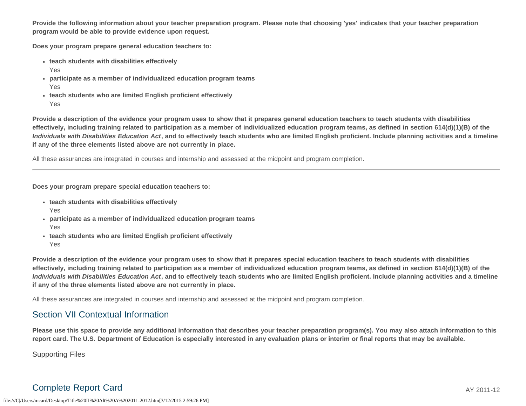**Provide the following information about your teacher preparation program. Please note that choosing 'yes' indicates that your teacher preparation program would be able to provide evidence upon request.**

**Does your program prepare general education teachers to:**

- **teach students with disabilities effectively**
	- Yes
- **participate as a member of individualized education program teams** Yes
- **teach students who are limited English proficient effectively** Yes

**Provide a description of the evidence your program uses to show that it prepares general education teachers to teach students with disabilities effectively, including training related to participation as a member of individualized education program teams, as defined in section 614(d)(1)(B) of the** *Individuals with Disabilities Education Act***, and to effectively teach students who are limited English proficient. Include planning activities and a timeline if any of the three elements listed above are not currently in place.**

All these assurances are integrated in courses and internship and assessed at the midpoint and program completion.

**Does your program prepare special education teachers to:**

- **teach students with disabilities effectively**
	- Yes
- **participate as a member of individualized education program teams** Yes
- **teach students who are limited English proficient effectively** Yes

**Provide a description of the evidence your program uses to show that it prepares special education teachers to teach students with disabilities effectively, including training related to participation as a member of individualized education program teams, as defined in section 614(d)(1)(B) of the** *Individuals with Disabilities Education Act***, and to effectively teach students who are limited English proficient. Include planning activities and a timeline if any of the three elements listed above are not currently in place.**

All these assurances are integrated in courses and internship and assessed at the midpoint and program completion.

### Section VII Contextual Information

**Please use this space to provide any additional information that describes your teacher preparation program(s). You may also attach information to this report card. The U.S. Department of Education is especially interested in any evaluation plans or interim or final reports that may be available.**

Supporting Files

# Complete Report Card AY 2011-12